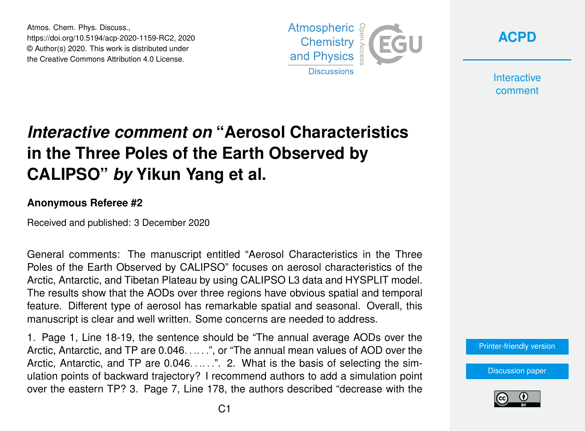Atmos. Chem. Phys. Discuss., https://doi.org/10.5194/acp-2020-1159-RC2, 2020 © Author(s) 2020. This work is distributed under the Creative Commons Attribution 4.0 License.



**[ACPD](https://acp.copernicus.org/preprints/)**

**Interactive** comment

## *Interactive comment on* **"Aerosol Characteristics in the Three Poles of the Earth Observed by CALIPSO"** *by* **Yikun Yang et al.**

## **Anonymous Referee #2**

Received and published: 3 December 2020

General comments: The manuscript entitled "Aerosol Characteristics in the Three Poles of the Earth Observed by CALIPSO" focuses on aerosol characteristics of the Arctic, Antarctic, and Tibetan Plateau by using CALIPSO L3 data and HYSPLIT model. The results show that the AODs over three regions have obvious spatial and temporal feature. Different type of aerosol has remarkable spatial and seasonal. Overall, this manuscript is clear and well written. Some concerns are needed to address.

1. Page 1, Line 18-19, the sentence should be "The annual average AODs over the Arctic, Antarctic, and TP are 0.046. . .. . .", or "The annual mean values of AOD over the Arctic, Antarctic, and TP are  $0.046$ ......". 2. What is the basis of selecting the simulation points of backward trajectory? I recommend authors to add a simulation point over the eastern TP? 3. Page 7, Line 178, the authors described "decrease with the



[Discussion paper](https://acp.copernicus.org/preprints/acp-2020-1159)

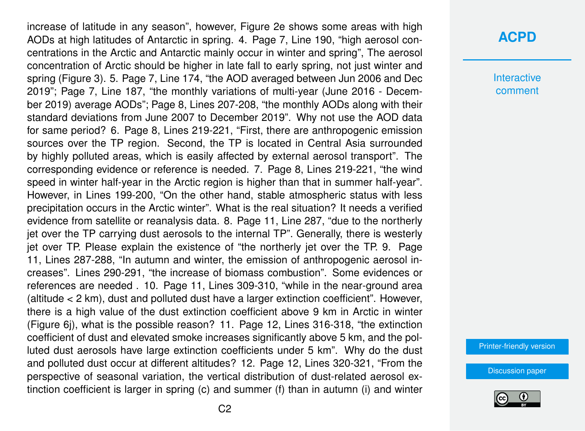increase of latitude in any season", however, Figure 2e shows some areas with high AODs at high latitudes of Antarctic in spring. 4. Page 7, Line 190, "high aerosol concentrations in the Arctic and Antarctic mainly occur in winter and spring", The aerosol concentration of Arctic should be higher in late fall to early spring, not just winter and spring (Figure 3). 5. Page 7, Line 174, "the AOD averaged between Jun 2006 and Dec 2019"; Page 7, Line 187, "the monthly variations of multi-year (June 2016 - December 2019) average AODs"; Page 8, Lines 207-208, "the monthly AODs along with their standard deviations from June 2007 to December 2019". Why not use the AOD data for same period? 6. Page 8, Lines 219-221, "First, there are anthropogenic emission sources over the TP region. Second, the TP is located in Central Asia surrounded by highly polluted areas, which is easily affected by external aerosol transport". The corresponding evidence or reference is needed. 7. Page 8, Lines 219-221, "the wind speed in winter half-year in the Arctic region is higher than that in summer half-year". However, in Lines 199-200, "On the other hand, stable atmospheric status with less precipitation occurs in the Arctic winter". What is the real situation? It needs a verified evidence from satellite or reanalysis data. 8. Page 11, Line 287, "due to the northerly jet over the TP carrying dust aerosols to the internal TP". Generally, there is westerly jet over TP. Please explain the existence of "the northerly jet over the TP. 9. Page 11, Lines 287-288, "In autumn and winter, the emission of anthropogenic aerosol increases". Lines 290-291, "the increase of biomass combustion". Some evidences or references are needed . 10. Page 11, Lines 309-310, "while in the near-ground area (altitude < 2 km), dust and polluted dust have a larger extinction coefficient". However, there is a high value of the dust extinction coefficient above 9 km in Arctic in winter (Figure 6j), what is the possible reason? 11. Page 12, Lines 316-318, "the extinction coefficient of dust and elevated smoke increases significantly above 5 km, and the polluted dust aerosols have large extinction coefficients under 5 km". Why do the dust and polluted dust occur at different altitudes? 12. Page 12, Lines 320-321, "From the perspective of seasonal variation, the vertical distribution of dust-related aerosol extinction coefficient is larger in spring (c) and summer (f) than in autumn (i) and winter

## **[ACPD](https://acp.copernicus.org/preprints/)**

**Interactive** comment

[Printer-friendly version](https://acp.copernicus.org/preprints/acp-2020-1159/acp-2020-1159-RC2-print.pdf)

[Discussion paper](https://acp.copernicus.org/preprints/acp-2020-1159)